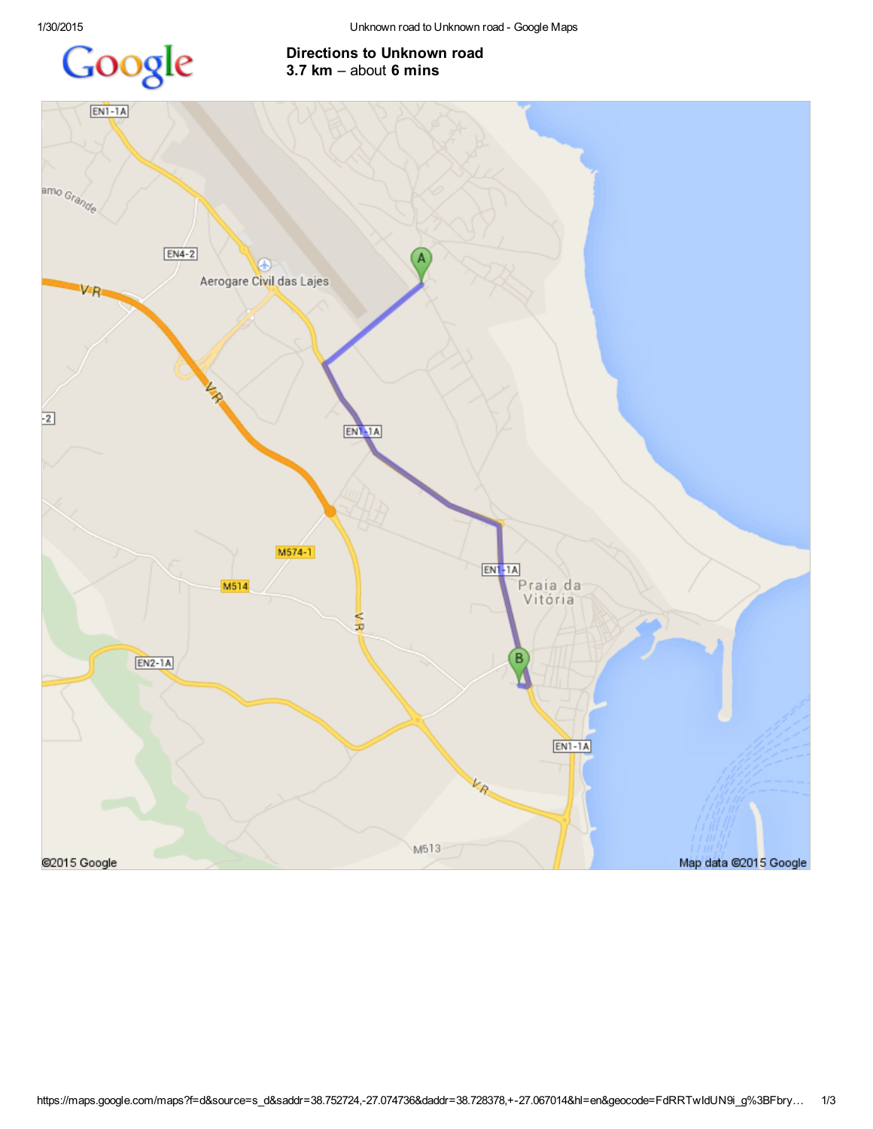## Google

## Directions to Unknown road 3.7 km – about 6 mins

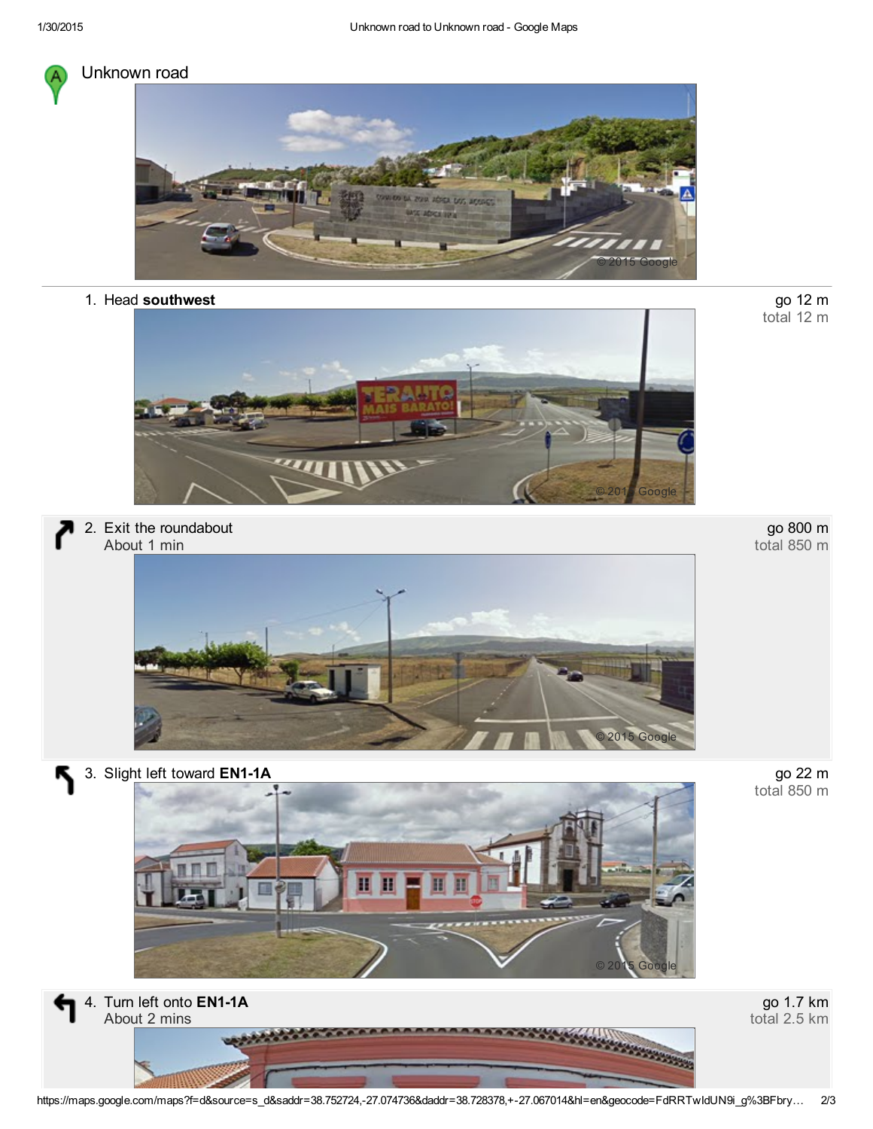

## Unknown road



1. Head southwest



2. Exit the roundabout About 1 min



go 800 m total 850 m

go 12 m<br>total 12 m

go 22 m<br>total 850 m

3. Slight left toward EN1-1A

Қ





go 1.7 km total 2.5 km